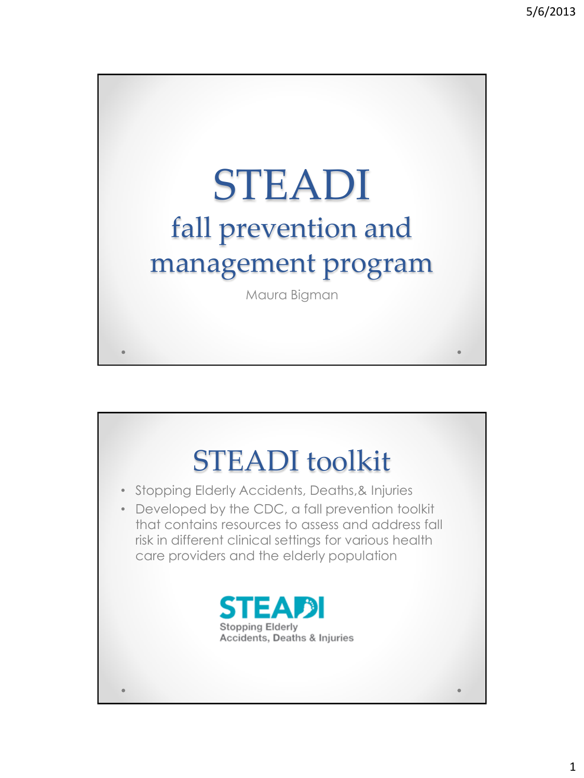

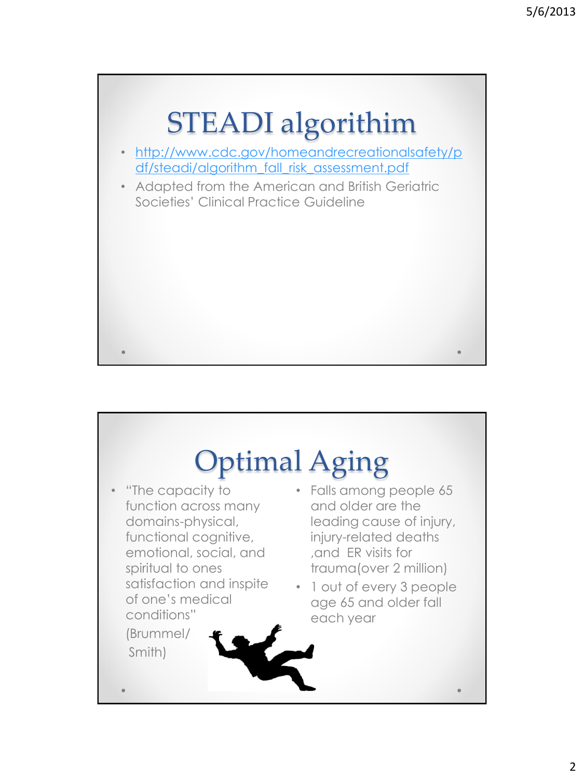

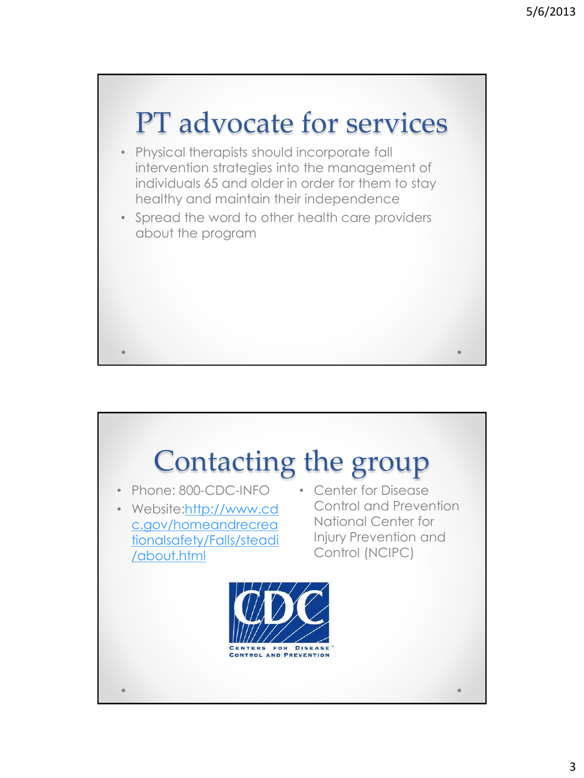

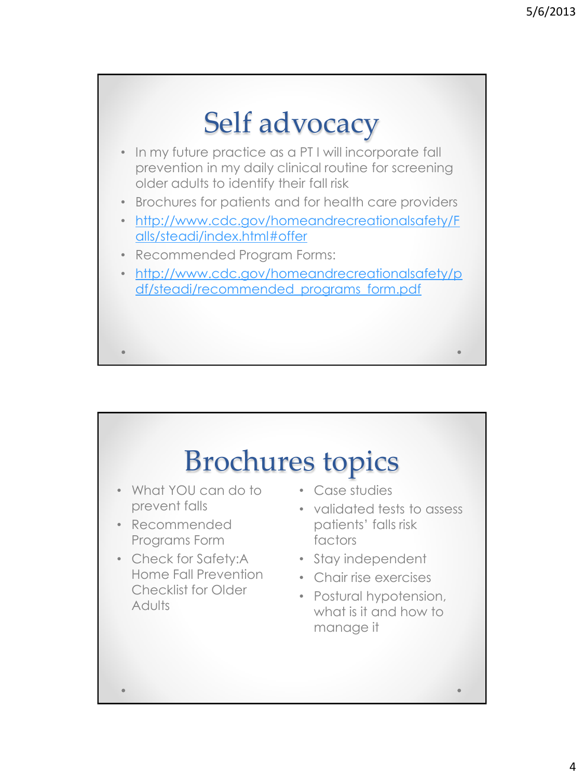

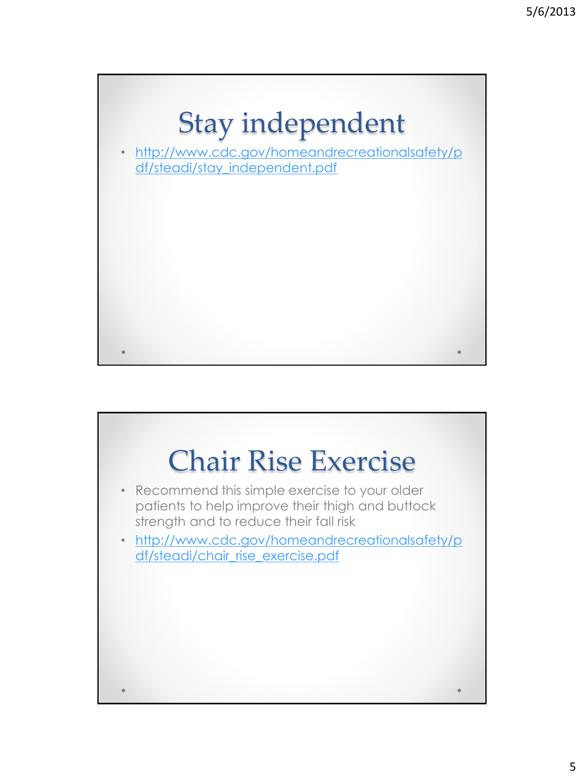

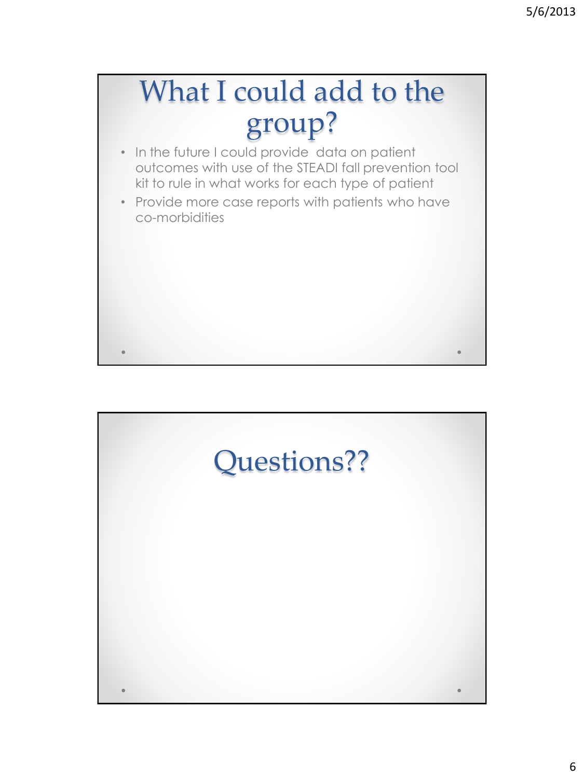## What I could add to the group?

- In the future I could provide data on patient outcomes with use of the STEADI fall prevention tool kit to rule in what works for each type of patient
- Provide more case reports with patients who have co-morbidities